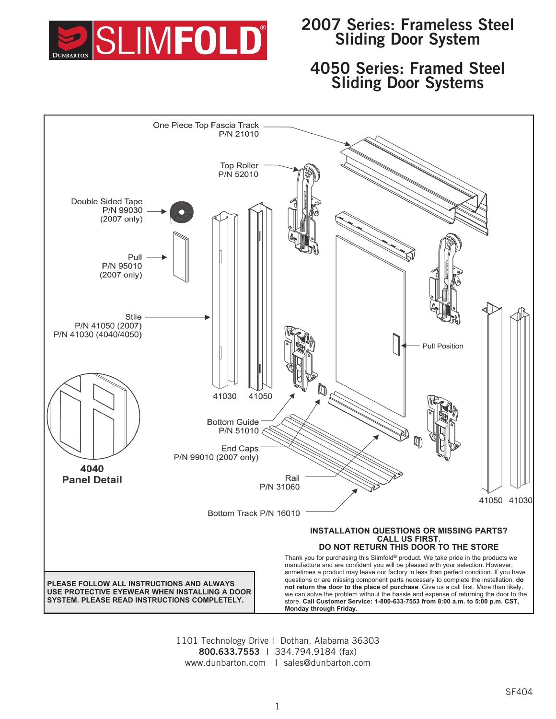

# **2007 Series: Frameless Steel Sliding Door System**

# **4050 Series: Framed Steel Sliding Door Systems**



1101 Technology Drive l Dothan, Alabama 36303 **800.633.7553** I 334.794.9184 (fax) www.dunbarton.com I sales@dunbarton.com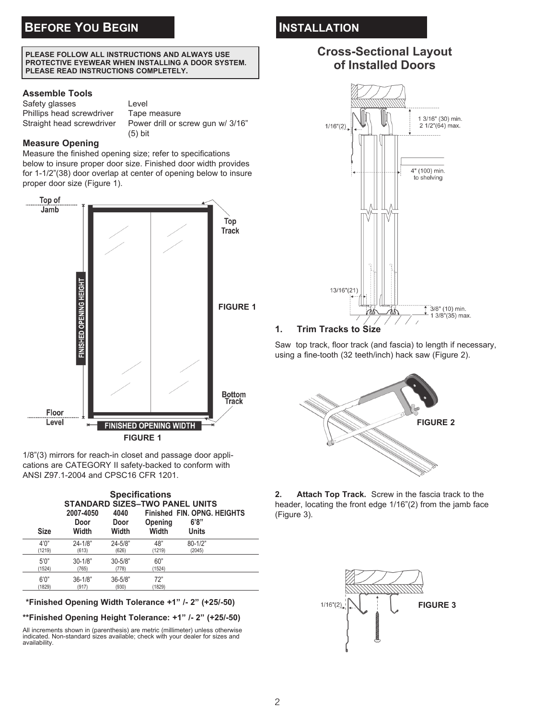#### **PLEASE FOLLOW ALL INSTRUCTIONS AND ALWAYS USE PROTECTIVE EYEWEAR WHEN INSTALLING A DOOR SYSTEM. PLEASE READ INSTRUCTIONS COMPLETELY.**

## **Assemble Tools**

Safety glasses Level Phillips head screwdriver Tape measure

Straight head screwdriver Power drill or screw gun w/ 3/16" (5) bit

## **Measure Opening**

Measure the finished opening size; refer to specifications below to insure proper door size. Finished door width provides for 1-1/2"(38) door overlap at center of opening below to insure proper door size (Figure 1).



1/8"(3) mirrors for reach-in closet and passage door applications are CATEGORY II safety-backed to conform with ANSI Z97.1-2004 and CPSC16 CFR 1201.

| <b>Specifications</b><br><b>STANDARD SIZES-TWO PANEL UNITS</b> |                            |                       |                  |                                                      |  |
|----------------------------------------------------------------|----------------------------|-----------------------|------------------|------------------------------------------------------|--|
| <b>Size</b>                                                    | 2007-4050<br>Door<br>Width | 4040<br>Door<br>Width | Opening<br>Width | <b>Finished FIN. OPNG, HEIGHTS</b><br>6'8''<br>Units |  |
| 4'0''<br>(1219)                                                | $24 - 1/8"$<br>(613)       | $24 - 5/8"$<br>(626)  | 48"<br>(1219)    | $80 - 1/2"$<br>(2045)                                |  |
| 5'0''<br>(1524)                                                | $30 - 1/8"$<br>(765)       | $30 - 5/8"$<br>(778)  | 60"<br>(1524)    |                                                      |  |
| 6'0''<br>(1829)                                                | $36 - 1/8$ "<br>(917)      | $36 - 5/8"$<br>(930)  | 72"<br>(1829)    |                                                      |  |

**\*\*Finished Opening Width Tolerance +1" /- 2" (+25/-50)**

**\*\*Finished Opening Height Tolerance: +1" /- 2" (+25/-50)**

All increments shown in (parenthesis) are metric (millimeter) unless otherwise indicated. Non-standard sizes available; check with your dealer for sizes and availability.

# **INSTALLATION**

# **Cross-Sectional Layout** of Installed Doors



# **1. Trim Tracks to Size**

Saw top track, floor track (and fascia) to length if necessary, using a fine-tooth (32 teeth/inch) hack saw (Figure 2).



**2. Attach Top Track.** Screw in the fascia track to the header, locating the front edge 1/16"(2) from the jamb face (Figure 3).

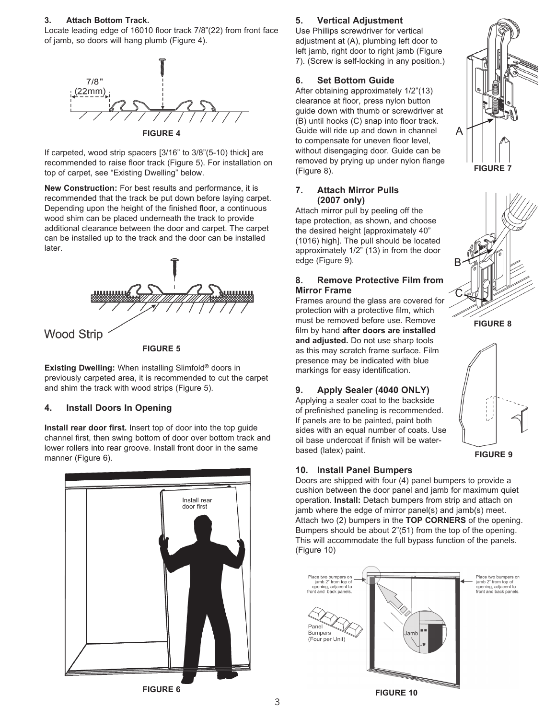### **3. Attach Bottom Track.**

Locate leading edge of 16010 floor track 7/8"(22) from front face of jamb, so doors will hang plumb (Figure 4).



If carpeted, wood strip spacers [3/16" to 3/8"(5-10) thick] are recommended to raise floor track (Figure 5). For installation on top of carpet, see "Existing Dwelling" below.

**New Construction:** For best results and performance, it is recommended that the track be put down before laying carpet. Depending upon the height of the finished floor, a continuous wood shim can be placed underneath the track to provide additional clearance between the door and carpet. The carpet can be installed up to the track and the door can be installed later.



**Existing Dwelling:** When installing Slimfold**®** doors in previously carpeted area, it is recommended to cut the carpet and shim the track with wood strips (Figure 5).

### **4. Install Doors In Opening**

**Install rear door first.** Insert top of door into the top guide channel first, then swing bottom of door over bottom track and lower rollers into rear groove. Install front door in the same manner (Figure 6).



### **5. Vertical Adjustment**

Use Phillips screwdriver for vertical adjustment at (A), plumbing left door to left jamb, right door to right jamb (Figure 7). (Screw is self-locking in any position.)

### **6. Set Bottom Guide**

After obtaining approximately 1/2"(13) clearance at floor, press nylon button guide down with thumb or screwdriver at (B) until hooks (C) snap into floor track. Guide will ride up and down in channel to compensate for uneven floor level, without disengaging door. Guide can be removed by prying up under nylon flange (Figure 8).

#### **7. Attach Mirror Pulls (2007 only)**

Attach mirror pull by peeling off the tape protection, as shown, and choose the desired height [approximately 40" (1016) high]. The pull should be located approximately 1/2" (13) in from the door edge (Figure 9).

### **8. Remove Protective Film from Mirror Frame**

Frames around the glass are covered for protection with a protective film, which must be removed before use. Remove film by hand **after doors are installed and adjusted.** Do not use sharp tools as this may scratch frame surface. Film presence may be indicated with blue markings for easy identification.

## **9. Apply Sealer (4040 ONLY)**

Applying a sealer coat to the backside of prefinished paneling is recommended. If panels are to be painted, paint both sides with an equal number of coats. Use oil base undercoat if finish will be waterbased (latex) paint.

#### **10. Install Panel Bumpers**

Doors are shipped with four (4) panel bumpers to provide a cushion between the door panel and jamb for maximum quiet operation. **Install:** Detach bumpers from strip and attach on jamb where the edge of mirror panel(s) and jamb(s) meet. Attach two (2) bumpers in the **TOP CORNERS** of the opening. Bumpers should be about 2"(51) from the top of the opening. This will accommodate the full bypass function of the panels. (Figure 10)







**FIGURE 8**